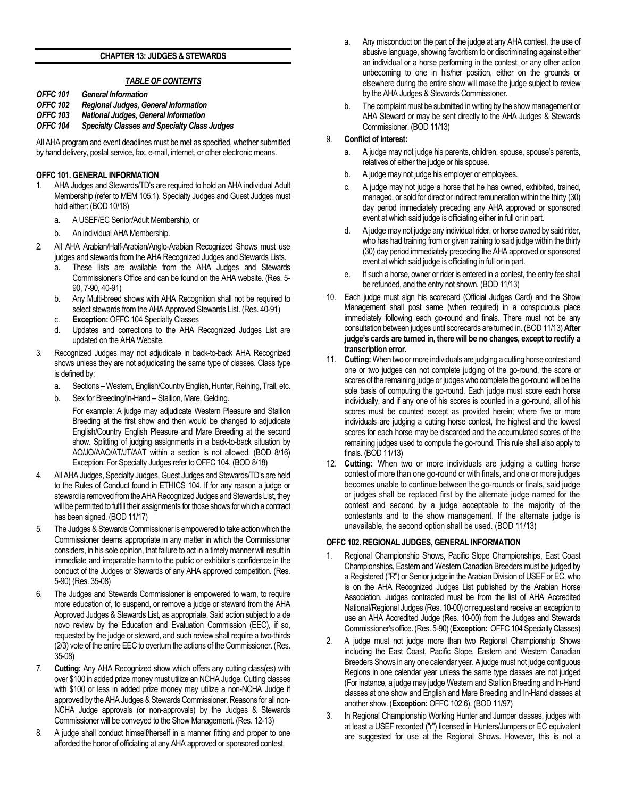## **CHAPTER 13: JUDGES & STEWARDS**

# *TABLE OF CONTENTS*

- *OFFC 101 General Information*
- *OFFC 102 Regional Judges, General Information*
- **National Judges, General Information**
- *OFFC 104 Specialty Classes and Specialty Class Judges*

All AHA program and event deadlines must be met as specified, whether submitted by hand delivery, postal service, fax, e-mail, internet, or other electronic means.

# **OFFC 101. GENERAL INFORMATION**

- 1. AHA Judges and Stewards/TD's are required to hold an AHA individual Adult Membership (refer to MEM 105.1). Specialty Judges and Guest Judges must hold either: (BOD 10/18)
	- a. A USEF/EC Senior/Adult Membership, or
	- b. An individual AHA Membership.
- 2. All AHA Arabian/Half-Arabian/Anglo-Arabian Recognized Shows must use judges and stewards from the AHA Recognized Judges and Stewards Lists.
	- a. These lists are available from the AHA Judges and Stewards Commissioner's Office and can be found on the AHA website. (Res. 5- 90, 7-90, 40-91)
	- b. Any Multi-breed shows with AHA Recognition shall not be required to select stewards from the AHA Approved Stewards List. (Res. 40-91)
	- c. **Exception:** OFFC 104 Specialty Classes
	- d. Updates and corrections to the AHA Recognized Judges List are updated on the AHA Website.
- 3. Recognized Judges may not adjudicate in back-to-back AHA Recognized shows unless they are not adjudicating the same type of classes. Class type is defined by:
	- a. Sections –Western, English/Country English, Hunter, Reining, Trail, etc.
	- b. Sex for Breeding/In-Hand Stallion, Mare, Gelding.

For example: A judge may adjudicate Western Pleasure and Stallion Breeding at the first show and then would be changed to adjudicate English/Country English Pleasure and Mare Breeding at the second show. Splitting of judging assignments in a back-to-back situation by AO/JO/AAO/AT/JT/AAT within a section is not allowed. (BOD 8/16) Exception: For Specialty Judges refer to OFFC 104. (BOD 8/18)

- 4. All AHA Judges, Specialty Judges, Guest Judges and Stewards/TD's are held to the Rules of Conduct found in ETHICS 104. If for any reason a judge or steward is removed from the AHA Recognized Judges and Stewards List, they will be permitted to fulfill their assignments for those shows for which a contract has been signed. (BOD 11/17)
- 5. The Judges & Stewards Commissioner is empowered to take action which the Commissioner deems appropriate in any matter in which the Commissioner considers, in his sole opinion, that failure to act in a timely manner will result in immediate and irreparable harm to the public or exhibitor's confidence in the conduct of the Judges or Stewards of any AHA approved competition. (Res. 5-90) (Res. 35-08)
- 6. The Judges and Stewards Commissioner is empowered to warn, to require more education of, to suspend, or remove a judge or steward from the AHA Approved Judges & Stewards List, as appropriate. Said action subject to a de novo review by the Education and Evaluation Commission (EEC), if so, requested by the judge or steward, and such review shall require a two-thirds (2/3) vote of the entire EEC to overturn the actions of the Commissioner. (Res. 35-08)
- 7. **Cutting:** Any AHA Recognized show which offers any cutting class(es) with over \$100 in added prize money must utilize an NCHA Judge. Cutting classes with \$100 or less in added prize money may utilize a non-NCHA Judge if approved by the AHA Judges & Stewards Commissioner. Reasons for all non-NCHA Judge approvals (or non-approvals) by the Judges & Stewards Commissioner will be conveyed to the Show Management. (Res. 12-13)
- 8. A judge shall conduct himself/herself in a manner fitting and proper to one afforded the honor of officiating at any AHA approved or sponsored contest.
- a. Any misconduct on the part of the judge at any AHA contest, the use of abusive language, showing favoritism to or discriminating against either an individual or a horse performing in the contest, or any other action unbecoming to one in his/her position, either on the grounds or elsewhere during the entire show will make the judge subject to review by the AHA Judges & Stewards Commissioner.
- b. The complaint must be submitted in writing by the show management or AHA Steward or may be sent directly to the AHA Judges & Stewards Commissioner. (BOD 11/13)

# 9. **Conflict of Interest:**

- a. A judge may not judge his parents, children, spouse, spouse's parents, relatives of either the judge or his spouse.
- b. A judge may not judge his employer or employees.
- c. A judge may not judge a horse that he has owned, exhibited, trained, managed, or sold for direct or indirect remuneration within the thirty (30) day period immediately preceding any AHA approved or sponsored event at which said judge is officiating either in full or in part.
- d. A judge may not judge any individual rider, or horse owned by said rider, who has had training from or given training to said judge within the thirty (30) day period immediately preceding the AHA approved or sponsored event at which said judge is officiating in full or in part.
- e. If such a horse, owner or rider is entered in a contest, the entry fee shall be refunded, and the entry not shown. (BOD 11/13)
- 10. Each judge must sign his scorecard (Official Judges Card) and the Show Management shall post same (when required) in a conspicuous place immediately following each go-round and finals. There must not be any consultation between judges until scorecards are turned in. (BOD 11/13) **After judge's cards are turned in, there will be no changes, except to rectify a transcription error.**
- 11. **Cutting:** When two or more individuals are judging a cutting horse contest and one or two judges can not complete judging of the go-round, the score or scores of the remaining judge or judges who complete the go-round will be the sole basis of computing the go-round. Each judge must score each horse individually, and if any one of his scores is counted in a go-round, all of his scores must be counted except as provided herein; where five or more individuals are judging a cutting horse contest, the highest and the lowest scores for each horse may be discarded and the accumulated scores of the remaining judges used to compute the go-round. This rule shall also apply to finals. (BOD 11/13)
- 12. **Cutting:** When two or more individuals are judging a cutting horse contest of more than one go-round or with finals, and one or more judges becomes unable to continue between the go-rounds or finals, said judge or judges shall be replaced first by the alternate judge named for the contest and second by a judge acceptable to the majority of the contestants and to the show management. If the alternate judge is unavailable, the second option shall be used. (BOD 11/13)

## **OFFC 102. REGIONAL JUDGES, GENERAL INFORMATION**

- 1. Regional Championship Shows, Pacific Slope Championships, East Coast Championships, Eastern and Western Canadian Breeders must be judged by a Registered ("R") or Senior judge in the Arabian Division of USEF or EC, who is on the AHA Recognized Judges List published by the Arabian Horse Association. Judges contracted must be from the list of AHA Accredited National/Regional Judges (Res. 10-00) or request and receive an exception to use an AHA Accredited Judge (Res. 10-00) from the Judges and Stewards Commissioner's office. (Res. 5-90) (**Exception:** OFFC 104 Specialty Classes)
- 2. A judge must not judge more than two Regional Championship Shows including the East Coast, Pacific Slope, Eastern and Western Canadian Breeders Shows in any one calendar year. A judge must not judge contiguous Regions in one calendar year unless the same type classes are not judged (For instance, a judge may judge Western and Stallion Breeding and In-Hand classes at one show and English and Mare Breeding and In-Hand classes at another show. (**Exception:** OFFC 102.6). (BOD 11/97)
- 3. In Regional Championship Working Hunter and Jumper classes, judges with at least a USEF recorded ("r") licensed in Hunters/Jumpers or EC equivalent are suggested for use at the Regional Shows. However, this is not a